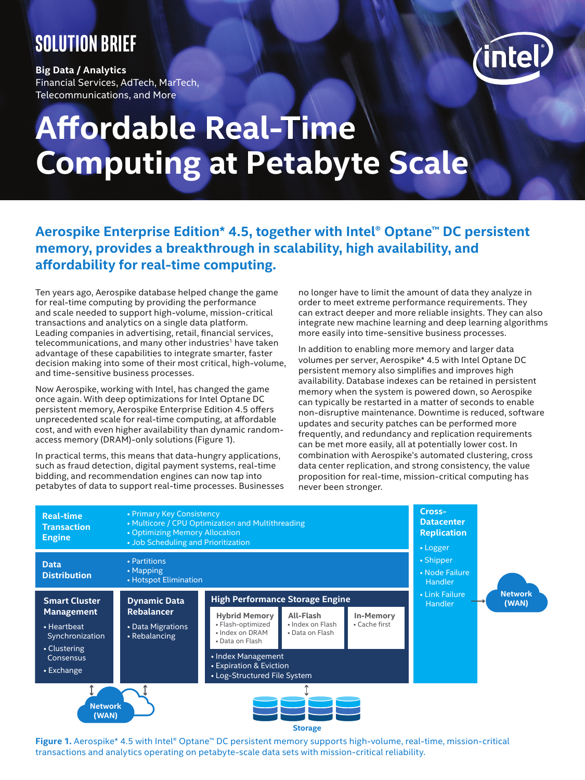# **Solution brief**

**Big Data / Analytics** Financial Services, AdTech, MarTech, Telecommunications, and More



# **Affordable Real-Time Computing at Petabyte Scale**

# **Aerospike Enterprise Edition\* 4.5, together with Intel® Optane™ DC persistent memory, provides a breakthrough in scalability, high availability, and affordability for real-time computing.**

Ten years ago, Aerospike database helped change the game for real-time computing by providing the performance and scale needed to support high-volume, mission-critical transactions and analytics on a single data platform. Leading companies in advertising, retail, financial services, telecommunications, and many other industries<sup>1</sup> have taken advantage of these capabilities to integrate smarter, faster decision making into some of their most critical, high-volume, and time-sensitive business processes.

Now Aerospike, working with Intel, has changed the game once again. With deep optimizations for Intel Optane DC persistent memory, Aerospike Enterprise Edition 4.5 offers unprecedented scale for real-time computing, at affordable cost, and with even higher availability than dynamic randomaccess memory (DRAM)-only solutions (Figure 1).

In practical terms, this means that data-hungry applications, such as fraud detection, digital payment systems, real-time bidding, and recommendation engines can now tap into petabytes of data to support real-time processes. Businesses no longer have to limit the amount of data they analyze in order to meet extreme performance requirements. They can extract deeper and more reliable insights. They can also integrate new machine learning and deep learning algorithms more easily into time-sensitive business processes.

In addition to enabling more memory and larger data volumes per server, Aerospike\* 4.5 with Intel Optane DC persistent memory also simplifies and improves high availability. Database indexes can be retained in persistent memory when the system is powered down, so Aerospike can typically be restarted in a matter of seconds to enable non-disruptive maintenance. Downtime is reduced, software updates and security patches can be performed more frequently, and redundancy and replication requirements can be met more easily, all at potentially lower cost. In combination with Aerospike's automated clustering, cross data center replication, and strong consistency, the value proposition for real-time, mission-critical computing has never been stronger.



**Figure 1.** Aerospike\* 4.5 with Intel® Optane™ DC persistent memory supports high-volume, real-time, mission-critical transactions and analytics operating on petabyte-scale data sets with mission-critical reliability.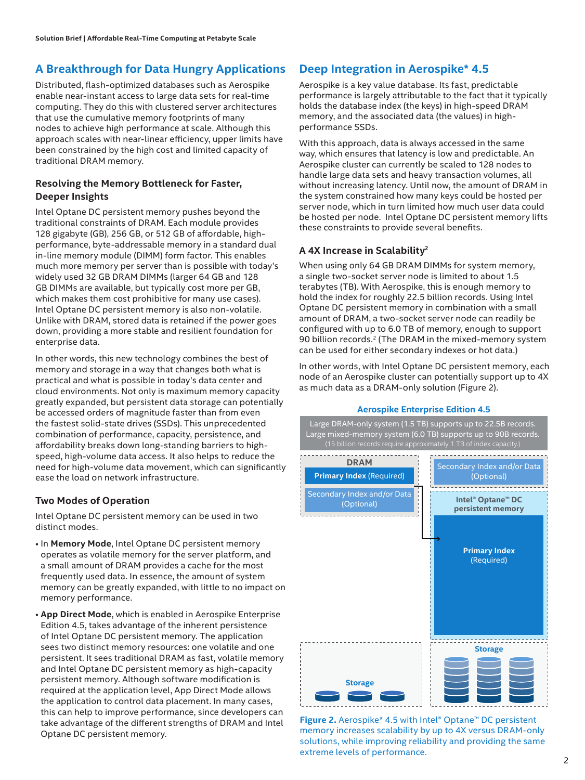# **A Breakthrough for Data Hungry Applications**

Distributed, flash-optimized databases such as Aerospike enable near-instant access to large data sets for real-time computing. They do this with clustered server architectures that use the cumulative memory footprints of many nodes to achieve high performance at scale. Although this approach scales with near-linear efficiency, upper limits have been constrained by the high cost and limited capacity of traditional DRAM memory.

#### **Resolving the Memory Bottleneck for Faster, Deeper Insights**

Intel Optane DC persistent memory pushes beyond the traditional constraints of DRAM. Each module provides 128 gigabyte (GB), 256 GB, or 512 GB of affordable, highperformance, byte-addressable memory in a standard dual in-line memory module (DIMM) form factor. This enables much more memory per server than is possible with today's widely used 32 GB DRAM DIMMs (larger 64 GB and 128 GB DIMMs are available, but typically cost more per GB, which makes them cost prohibitive for many use cases). Intel Optane DC persistent memory is also non-volatile. Unlike with DRAM, stored data is retained if the power goes down, providing a more stable and resilient foundation for enterprise data.

In other words, this new technology combines the best of memory and storage in a way that changes both what is practical and what is possible in today's data center and cloud environments. Not only is maximum memory capacity greatly expanded, but persistent data storage can potentially be accessed orders of magnitude faster than from even the fastest solid-state drives (SSDs). This unprecedented combination of performance, capacity, persistence, and affordability breaks down long-standing barriers to highspeed, high-volume data access. It also helps to reduce the need for high-volume data movement, which can significantly ease the load on network infrastructure.

#### **Two Modes of Operation**

Intel Optane DC persistent memory can be used in two distinct modes.

- In **Memory Mode**, Intel Optane DC persistent memory operates as volatile memory for the server platform, and a small amount of DRAM provides a cache for the most frequently used data. In essence, the amount of system memory can be greatly expanded, with little to no impact on memory performance.
- **App Direct Mode**, which is enabled in Aerospike Enterprise Edition 4.5, takes advantage of the inherent persistence of Intel Optane DC persistent memory. The application sees two distinct memory resources: one volatile and one persistent. It sees traditional DRAM as fast, volatile memory and Intel Optane DC persistent memory as high-capacity persistent memory. Although software modification is required at the application level, App Direct Mode allows the application to control data placement. In many cases, this can help to improve performance, since developers can take advantage of the different strengths of DRAM and Intel Optane DC persistent memory.

# **Deep Integration in Aerospike\* 4.5**

Aerospike is a key value database. Its fast, predictable performance is largely attributable to the fact that it typically holds the database index (the keys) in high-speed DRAM memory, and the associated data (the values) in highperformance SSDs.

With this approach, data is always accessed in the same way, which ensures that latency is low and predictable. An Aerospike cluster can currently be scaled to 128 nodes to handle large data sets and heavy transaction volumes, all without increasing latency. Until now, the amount of DRAM in the system constrained how many keys could be hosted per server node, which in turn limited how much user data could be hosted per node. Intel Optane DC persistent memory lifts these constraints to provide several benefits.

#### **A 4X Increase in Scalability<sup>2</sup>**

When using only 64 GB DRAM DIMMs for system memory, a single two-socket server node is limited to about 1.5 terabytes (TB). With Aerospike, this is enough memory to hold the index for roughly 22.5 billion records. Using Intel Optane DC persistent memory in combination with a small amount of DRAM, a two-socket server node can readily be configured with up to 6.0 TB of memory, enough to support 90 billion records.<sup>2</sup> (The DRAM in the mixed-memory system can be used for either secondary indexes or hot data.)

In other words, with Intel Optane DC persistent memory, each node of an Aerospike cluster can potentially support up to 4X as much data as a DRAM-only solution (Figure 2).

#### **Aerospike Enterprise Edition 4.5**

Large DRAM-only system (1.5 TB) supports up to 22.5B records. Large mixed-memory system (6.0 TB) supports up to 90B records. (15 billion records require approximately 1 TB of index capacity.) ........................ **DRAM** Secondary Index and/or Data **Primary Index** (Required) (Optional) . . . . . . . . . . . . . . . . . . Secondary Index and/or Data **Intel® Optane™ DC** (Optional) **persistent memory** ---------------**Primary Index** (Required) **Storage Storage**

**Figure 2.** Aerospike\* 4.5 with Intel® Optane™ DC persistent memory increases scalability by up to 4X versus DRAM-only solutions, while improving reliability and providing the same extreme levels of performance.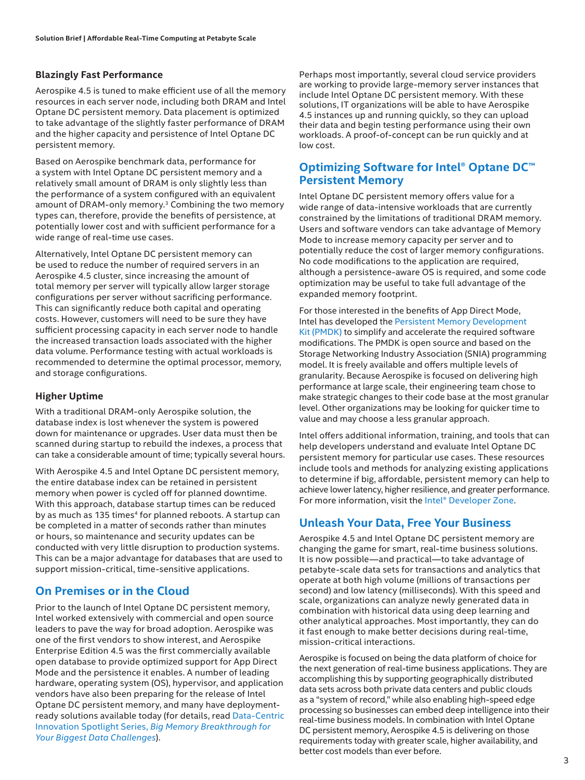#### **Blazingly Fast Performance**

Aerospike 4.5 is tuned to make efficient use of all the memory resources in each server node, including both DRAM and Intel Optane DC persistent memory. Data placement is optimized to take advantage of the slightly faster performance of DRAM and the higher capacity and persistence of Intel Optane DC persistent memory.

Based on Aerospike benchmark data, performance for a system with Intel Optane DC persistent memory and a relatively small amount of DRAM is only slightly less than the performance of a system configured with an equivalent amount of DRAM-only memory.<sup>3</sup> Combining the two memory types can, therefore, provide the benefits of persistence, at potentially lower cost and with sufficient performance for a wide range of real-time use cases.

Alternatively, Intel Optane DC persistent memory can be used to reduce the number of required servers in an Aerospike 4.5 cluster, since increasing the amount of total memory per server will typically allow larger storage configurations per server without sacrificing performance. This can significantly reduce both capital and operating costs. However, customers will need to be sure they have sufficient processing capacity in each server node to handle the increased transaction loads associated with the higher data volume. Performance testing with actual workloads is recommended to determine the optimal processor, memory, and storage configurations.

#### **Higher Uptime**

With a traditional DRAM-only Aerospike solution, the database index is lost whenever the system is powered down for maintenance or upgrades. User data must then be scanned during startup to rebuild the indexes, a process that can take a considerable amount of time; typically several hours.

With Aerospike 4.5 and Intel Optane DC persistent memory, the entire database index can be retained in persistent memory when power is cycled off for planned downtime. With this approach, database startup times can be reduced by as much as 135 times<sup>4</sup> for planned reboots. A startup can be completed in a matter of seconds rather than minutes or hours, so maintenance and security updates can be conducted with very little disruption to production systems. This can be a major advantage for databases that are used to support mission-critical, time-sensitive applications.

# **On Premises or in the Cloud**

Prior to the launch of Intel Optane DC persistent memory, Intel worked extensively with commercial and open source leaders to pave the way for broad adoption. Aerospike was one of the first vendors to show interest, and Aerospike Enterprise Edition 4.5 was the first commercially available open database to provide optimized support for App Direct Mode and the persistence it enables. A number of leading hardware, operating system (OS), hypervisor, and application vendors have also been preparing for the release of Intel Optane DC persistent memory, and many have deploymentready solutions available today (for details, read [Data-Centric](https://www.intel.com/content/www/us/en/architecture-and-technology/optane-dc-persistent-memory.html)  Innovation Spotlight Series, *[Big Memory Breakthrough for](https://www.intel.com/content/www/us/en/architecture-and-technology/optane-dc-persistent-memory.html)  [Your Biggest Data Challenges](https://www.intel.com/content/www/us/en/architecture-and-technology/optane-dc-persistent-memory.html)*).

Perhaps most importantly, several cloud service providers are working to provide large-memory server instances that include Intel Optane DC persistent memory. With these solutions, IT organizations will be able to have Aerospike 4.5 instances up and running quickly, so they can upload their data and begin testing performance using their own workloads. A proof-of-concept can be run quickly and at low cost.

### **Optimizing Software for Intel® Optane DC™ Persistent Memory**

Intel Optane DC persistent memory offers value for a wide range of data-intensive workloads that are currently constrained by the limitations of traditional DRAM memory. Users and software vendors can take advantage of Memory Mode to increase memory capacity per server and to potentially reduce the cost of larger memory configurations. No code modifications to the application are required, although a persistence-aware OS is required, and some code optimization may be useful to take full advantage of the expanded memory footprint.

For those interested in the benefits of App Direct Mode, Intel has developed the [Persistent Memory Development](https://software.intel.com/en-us/persistent-memory/get-started)  [Kit \(PMDK\)](https://software.intel.com/en-us/persistent-memory/get-started) to simplify and accelerate the required software modifications. The PMDK is open source and based on the Storage Networking Industry Association (SNIA) programming model. It is freely available and offers multiple levels of granularity. Because Aerospike is focused on delivering high performance at large scale, their engineering team chose to make strategic changes to their code base at the most granular level. Other organizations may be looking for quicker time to value and may choose a less granular approach.

Intel offers additional information, training, and tools that can help developers understand and evaluate Intel Optane DC persistent memory for particular use cases. These resources include tools and methods for analyzing existing applications to determine if big, affordable, persistent memory can help to achieve lower latency, higher resilience, and greater performance. For more information, visit the [Intel® Developer Zone.](http://software.intel.com/pmem)

# **Unleash Your Data, Free Your Business**

Aerospike 4.5 and Intel Optane DC persistent memory are changing the game for smart, real-time business solutions. It is now possible—and practical—to take advantage of petabyte-scale data sets for transactions and analytics that operate at both high volume (millions of transactions per second) and low latency (milliseconds). With this speed and scale, organizations can analyze newly generated data in combination with historical data using deep learning and other analytical approaches. Most importantly, they can do it fast enough to make better decisions during real-time, mission-critical interactions.

Aerospike is focused on being the data platform of choice for the next generation of real-time business applications. They are accomplishing this by supporting geographically distributed data sets across both private data centers and public clouds as a "system of record," while also enabling high-speed edge processing so businesses can embed deep intelligence into their real-time business models. In combination with Intel Optane DC persistent memory, Aerospike 4.5 is delivering on those requirements today with greater scale, higher availability, and better cost models than ever before.